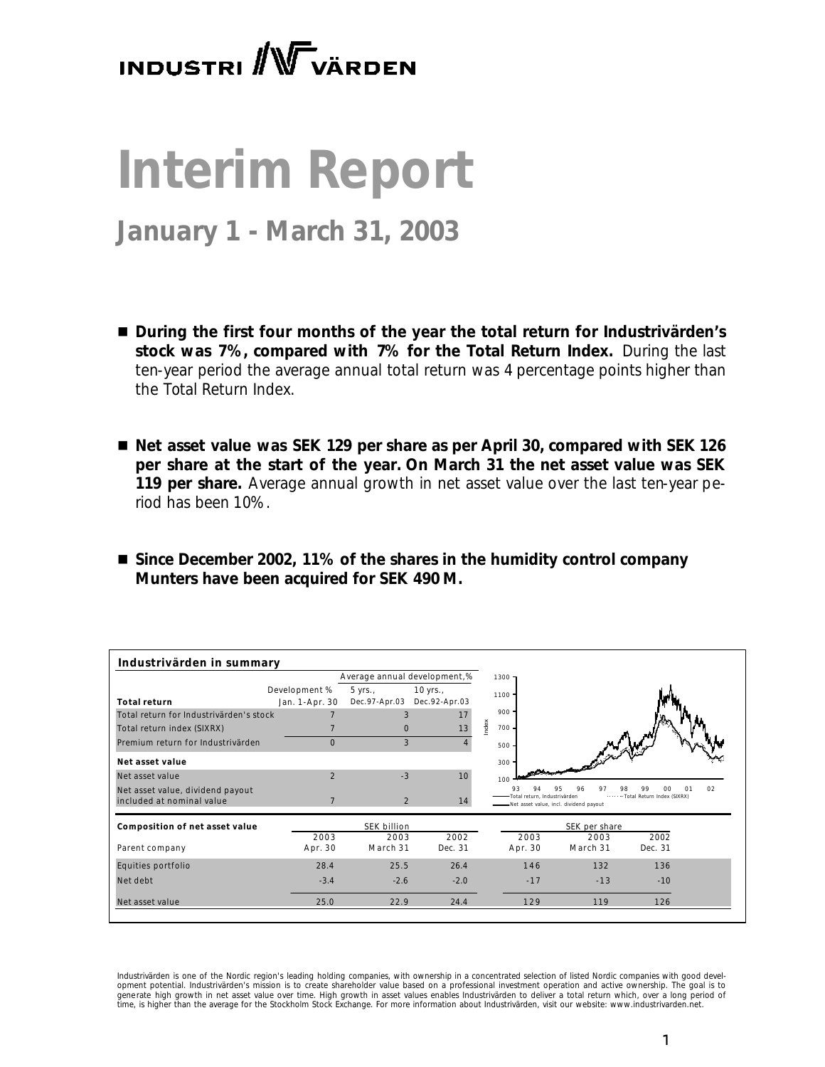# **INDUSTRI** W VÄRDEN

# **Interim Report**

# **January 1 - March 31, 2003**

- During the first four months of the year the total return for Industrivärden's *stock was 7%, compared with 7% for the Total Return Index. During the last ten-year period the average annual total return was 4 percentage points higher than the Total Return Index.*
- Net asset value was SEK 129 per share as per April 30, compared with SEK 126 *per share at the start of the year. On March 31 the net asset value was SEK 119 per share. Average annual growth in net asset value over the last ten-year period has been 10%.*
- Since December 2002, 11% of the shares in the humidity control company *Munters have been acquired for SEK 490 M.*

| Industrivärden in summary               |                |                |                              |          |                              |                                         |                                              |    |
|-----------------------------------------|----------------|----------------|------------------------------|----------|------------------------------|-----------------------------------------|----------------------------------------------|----|
|                                         |                |                | Average annual development,% | $1300 -$ |                              |                                         |                                              |    |
|                                         | Development %  | 5 yrs.         | $10$ yrs.,                   | $1100 -$ |                              |                                         |                                              |    |
| <b>Total return</b>                     | Jan. 1-Apr. 30 | Dec.97-Apr.03  | Dec.92-Apr.03                |          |                              |                                         |                                              |    |
| Total return for Industrivärden's stock |                | 3              | 17                           | $900 -$  |                              |                                         |                                              |    |
| Total return index (SIXRX)              |                | $\mathbf{0}$   | 13                           | Index    | $700 -$                      |                                         |                                              |    |
| Premium return for Industrivärden       | $\mathbf{0}$   | 3              |                              | 500      |                              |                                         |                                              |    |
| Net asset value                         |                |                |                              | $300 -$  |                              |                                         |                                              |    |
| Net asset value                         | $\overline{2}$ | $-3$           | 10                           | 100      |                              |                                         |                                              |    |
| Net asset value, dividend payout        |                |                |                              |          | Total return, Industrivärden | 96<br>97                                | 98<br>99<br>იი<br>Total Return Index (SIXRX) | 02 |
| included at nominal value               |                | $\mathfrak{D}$ | 14                           |          |                              | -Net asset value, incl. dividend payout |                                              |    |
| Composition of net asset value          |                | SEK billion    |                              |          |                              | SEK per share                           |                                              |    |
|                                         | 2003           | 2003           | 2002                         |          | 2003                         | 2003                                    | 2002                                         |    |
| Parent company                          | Apr. 30        | March 31       | Dec. 31                      |          | Apr. 30                      | March 31                                | Dec. 31                                      |    |
| Equities portfolio                      | 28.4           | 25.5           | 26.4                         |          | 146                          | 132                                     | 136                                          |    |
| Net debt                                | $-3.4$         | $-2.6$         | $-2.0$                       |          | $-17$                        | $-13$                                   | $-10$                                        |    |
| Net asset value                         | 25.0           | 22.9           | 24.4                         |          | 129                          | 119                                     | 126                                          |    |

*Industrivärden is one of the Nordic region's leading holding companies, with ownership in a concentrated selection of listed Nordic companies with good development potential. Industrivärden's mission is to create shareholder value based on a professional investment operation and active ownership. The goal is to*  generate high growth in net asset value over time. High growth in asset values enables Industrivärden to deliver a total return which, over a long period of<br>time, is higher than the average for the Stockholm Stock Exchange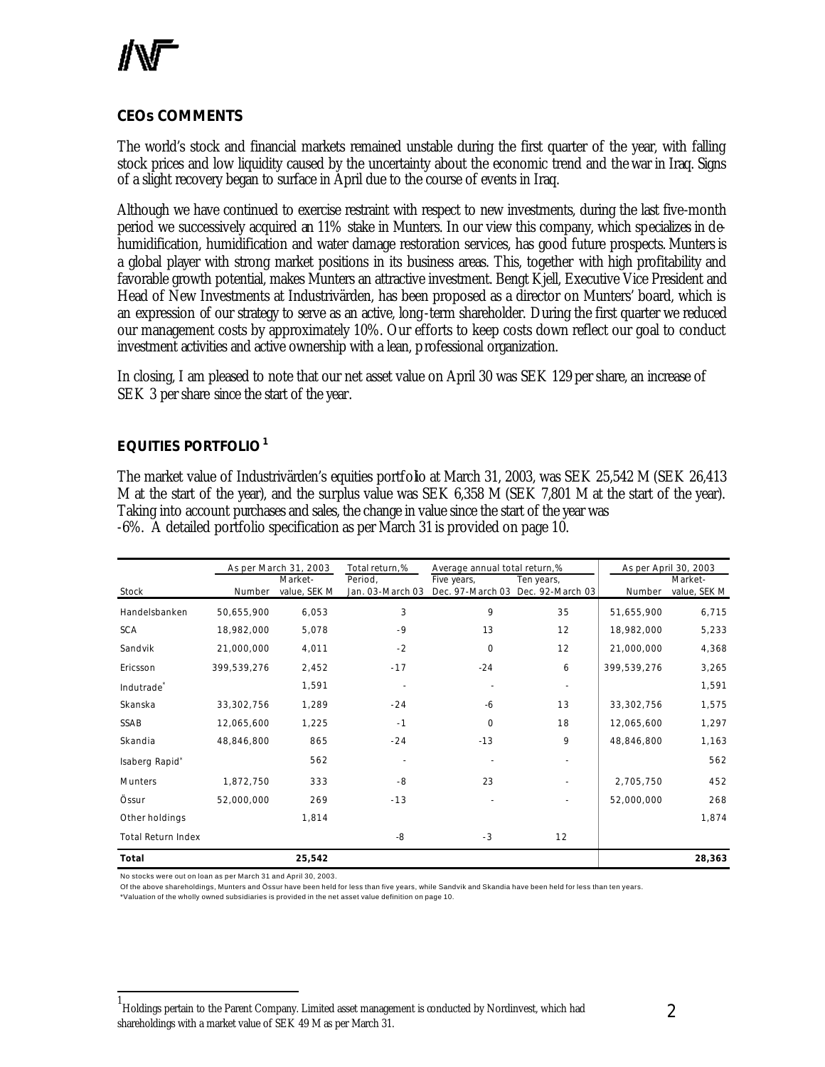## **CEOs COMMENTS**

The world's stock and financial markets remained unstable during the first quarter of the year, with falling stock prices and low liquidity caused by the uncertainty about the economic trend and the war in Iraq. Signs of a slight recovery began to surface in April due to the course of events in Iraq.

Although we have continued to exercise restraint with respect to new investments, during the last five-month period we successively acquired an 11% stake in Munters. In our view this company, which specializes in dehumidification, humidification and water damage restoration services, has good future prospects. Munters is a global player with strong market positions in its business areas. This, together with high profitability and favorable growth potential, makes Munters an attractive investment. Bengt Kjell, Executive Vice President and Head of New Investments at Industrivärden, has been proposed as a director on Munters' board, which is an expression of our strategy to serve as an active, long-term shareholder. During the first quarter we reduced our management costs by approximately 10%. Our efforts to keep costs down reflect our goal to conduct investment activities and active ownership with a lean, professional organization.

In closing, I am pleased to note that our net asset value on April 30 was SEK 129 per share, an increase of SEK 3 per share since the start of the year.

# **EQUITIES PORTFOLIO<sup>1</sup>**

The market value of Industrivärden's equities portfolio at March 31, 2003, was SEK 25,542 M (SEK 26,413 M at the start of the year), and the surplus value was SEK 6,358 M (SEK 7,801 M at the start of the year). Taking into account purchases and sales, the change in value since the start of the year was -6%. A detailed portfolio specification as per March 31 is provided on page 10.

|                        |             | As per March 31, 2003   | Total return,%              | Average annual total return,%   |                                |             | As per April 30, 2003   |
|------------------------|-------------|-------------------------|-----------------------------|---------------------------------|--------------------------------|-------------|-------------------------|
| Stock                  | Number      | Market-<br>value, SEK M | Period,<br>Jan. 03-March 03 | Five years,<br>Dec. 97-March 03 | Ten years,<br>Dec. 92-March 03 | Number      | Market-<br>value, SEK M |
|                        |             |                         |                             |                                 |                                |             |                         |
| Handelsbanken          | 50,655,900  | 6,053                   | 3                           | 9                               | 35                             | 51,655,900  | 6,715                   |
| <b>SCA</b>             | 18,982,000  | 5,078                   | $-9$                        | 13                              | 12                             | 18,982,000  | 5,233                   |
| Sandvik                | 21,000,000  | 4,011                   | $-2$                        | $\mathbf 0$                     | 12                             | 21,000,000  | 4,368                   |
| Ericsson               | 399,539,276 | 2,452                   | $-17$                       | $-24$                           | 6                              | 399,539,276 | 3,265                   |
| Indutrade <sup>*</sup> |             | 1,591                   |                             |                                 |                                |             | 1,591                   |
| Skanska                | 33,302,756  | 1,289                   | $-24$                       | $-6$                            | 13                             | 33,302,756  | 1,575                   |
| SSAB                   | 12,065,600  | 1,225                   | $-1$                        | $\Omega$                        | 18                             | 12,065,600  | 1,297                   |
| Skandia                | 48,846,800  | 865                     | $-24$                       | $-13$                           | 9                              | 48,846,800  | 1,163                   |
| Isaberg Rapid*         |             | 562                     |                             |                                 |                                |             | 562                     |
| <b>Munters</b>         | 1,872,750   | 333                     | $-8$                        | 23                              |                                | 2,705,750   | 452                     |
| Össur                  | 52,000,000  | 269                     | $-13$                       |                                 |                                | 52,000,000  | 268                     |
| Other holdings         |             | 1,814                   |                             |                                 |                                |             | 1,874                   |
| Total Return Index     |             |                         | -8                          | $-3$                            | 12                             |             |                         |
| Total                  |             | 25,542                  |                             |                                 |                                |             | 28,363                  |

No stocks were out on loan as per March 31 and April 30, 2003.

l

Of the above shareholdings, Munters and Össur have been held for less than five years, while Sandvik and Skandia have been held for less than ten years.

\*Valuation of the wholly owned subsidiaries is provided in the net asset value definition on page 10.

<sup>1</sup> Holdings pertain to the Parent Company. Limited asset management is conducted by Nordinvest, which had shareholdings with a market value of SEK 49 M as per March 31.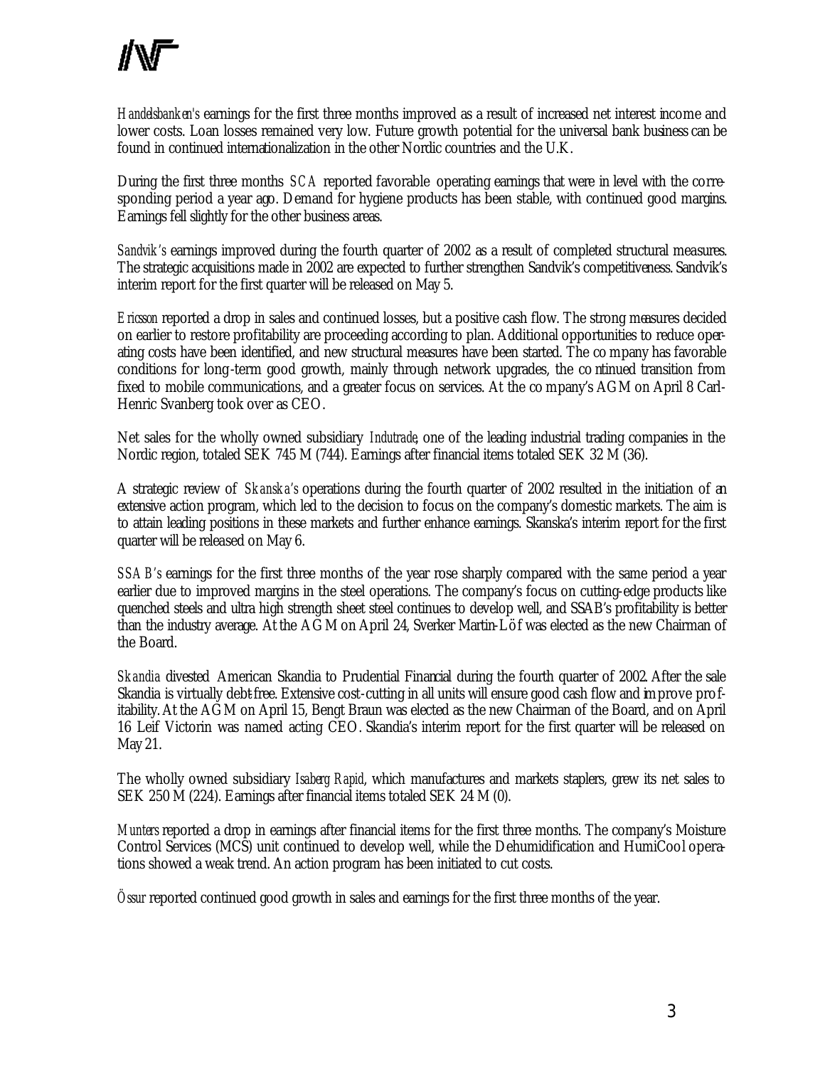*Handelsbanken's* earnings for the first three months improved as a result of increased net interest income and lower costs. Loan losses remained very low. Future growth potential for the universal bank business can be found in continued internationalization in the other Nordic countries and the U.K.

During the first three months *SCA* reported favorable operating earnings that were in level with the corresponding period a year ago. Demand for hygiene products has been stable, with continued good margins. Earnings fell slightly for the other business areas.

*Sandvik's* earnings improved during the fourth quarter of 2002 as a result of completed structural measures. The strategic acquisitions made in 2002 are expected to further strengthen Sandvik's competitiveness. Sandvik's interim report for the first quarter will be released on May 5.

*Ericsson* reported a drop in sales and continued losses, but a positive cash flow. The strong measures decided on earlier to restore profitability are proceeding according to plan. Additional opportunities to reduce operating costs have been identified, and new structural measures have been started. The co mpany has favorable conditions for long -term good growth, mainly through network upgrades, the co ntinued transition from fixed to mobile communications, and a greater focus on services. At the co mpany's AGM on April 8 Carl-Henric Svanberg took over as CEO.

Net sales for the wholly owned subsidiary *Indutrade*, one of the leading industrial trading companies in the Nordic region, totaled SEK 745 M (744). Earnings after financial items totaled SEK 32 M (36).

A strategic review of *Skanska's* operations during the fourth quarter of 2002 resulted in the initiation of an extensive action program, which led to the decision to focus on the company's domestic markets. The aim is to attain leading positions in these markets and further enhance earnings. Skanska's interim report for the first quarter will be released on May 6.

*SSAB's* earnings for the first three months of the year rose sharply compared with the same period a year earlier due to improved margins in the steel operations. The company's focus on cutting-edge products like quenched steels and ultra high strength sheet steel continues to develop well, and SSAB's profitability is better than the industry average. At the AGM on April 24, Sverker Martin-Löf was elected as the new Chairman of the Board.

*Skandia* divested American Skandia to Prudential Financial during the fourth quarter of 2002. After the sale Skandia is virtually debt-free. Extensive cost-cutting in all units will ensure good cash flow and improve profitability. At the AGM on April 15, Bengt Braun was elected as the new Chairman of the Board, and on April 16 Leif Victorin was named acting CEO. Skandia's interim report for the first quarter will be released on May 21.

The wholly owned subsidiary *Isaberg Rapid*, which manufactures and markets staplers, grew its net sales to SEK 250 M (224). Earnings after financial items totaled SEK 24 M (0).

*Munters* reported a drop in earnings after financial items for the first three months. The company's Moisture Control Services (MCS) unit continued to develop well, while the Dehumidification and HumiCool operations showed a weak trend. An action program has been initiated to cut costs.

*Össur* reported continued good growth in sales and earnings for the first three months of the year.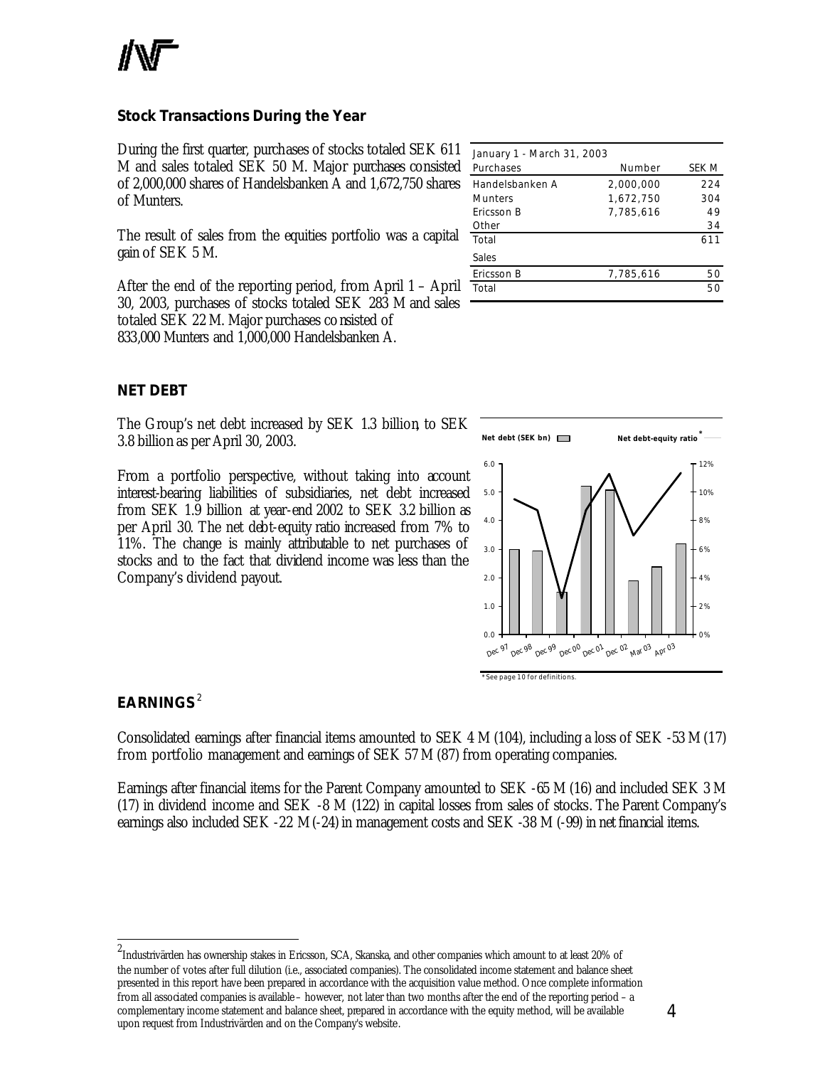

# **Stock Transactions During the Year**

During the first quarter, purchases of stocks totaled SEK 611 M and sales totaled SEK 50 M. Major purchases consisted of 2,000,000 shares of Handelsbanken A and 1,672,750 shares of Munters.

The result of sales from the equities portfolio was a capital gain of SEK 5 M.

After the end of the reporting period, from April 1 – April 30, 2003, purchases of stocks totaled SEK 283 M and sales totaled SEK 22 M. Major purchases consisted of 833,000 Munters and 1,000,000 Handelsbanken A.

| January 1 - March 31, 2003 |           |       |
|----------------------------|-----------|-------|
| Purchases                  | Number    | SEK M |
| Handelsbanken A            | 2,000,000 | 224   |
| <b>Munters</b>             | 1,672,750 | 304   |
| Ericsson B                 | 7,785,616 | 49    |
| Other                      |           | 34    |
| Total                      |           | 611   |
| Sales                      |           |       |
| Ericsson B                 | 7,785,616 | 50    |
| Total                      |           | 50    |

### **NET DEBT**

The Group's net debt increased by SEK 1.3 billion, to SEK 3.8 billion as per April 30, 2003.

From a portfolio perspective, without taking into account interest-bearing liabilities of subsidiaries, net debt increased from SEK 1.9 billion at year-end 2002 to SEK 3.2 billion as per April 30. The net debt-equity ratio increased from 7% to 11%. The change is mainly attributable to net purchases of stocks and to the fact that dividend income was less than the Company's dividend payout.





# **EARNINGS** <sup>2</sup>

l

Consolidated earnings after financial items amounted to SEK 4 M (104), including a loss of SEK -53 M (17) from portfolio management and earnings of SEK 57 M (87) from operating companies.

Earnings after financial items for the Parent Company amounted to SEK -65 M (16) and included SEK 3 M (17) in dividend income and SEK -8 M (122) in capital losses from sales of stocks. The Parent Company's earnings also included SEK -22 M (-24) in management costs and SEK -38 M (-99) in net financial items.

<sup>2</sup> Industrivärden has ownership stakes in Ericsson, SCA, Skanska, and other companies which amount to at least 20% of the number of votes after full dilution (i.e., associated companies). The consolidated income statement and balance sheet presented in this report have been prepared in accordance with the acquisition value method. Once complete information from all associated companies is available – however, not later than two months after the end of the reporting period – a complementary income statement and balance sheet, prepared in accordance with the equity method, will be available upon request from Industrivärden and on the Company's website.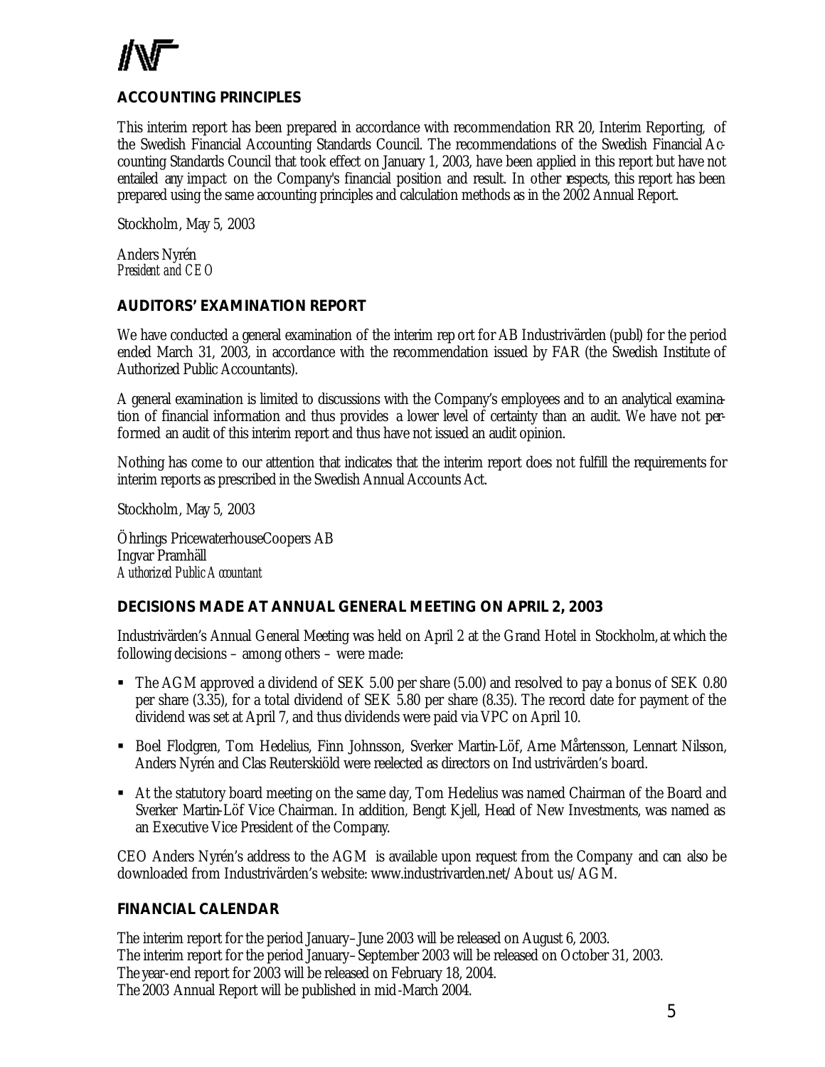# **ACCOUNTING PRINCIPLES**

This interim report has been prepared in accordance with recommendation RR 20, Interim Reporting, of the Swedish Financial Accounting Standards Council. The recommendations of the Swedish Financial Accounting Standards Council that took effect on January 1, 2003, have been applied in this report but have not entailed any impact on the Company's financial position and result. In other respects, this report has been prepared using the same accounting principles and calculation methods as in the 2002 Annual Report.

Stockholm, May 5, 2003

Anders Nyrén *President and CEO*

### **AUDITORS' EXAMINATION REPORT**

We have conducted a general examination of the interim rep ort for AB Industrivärden (publ) for the period ended March 31, 2003, in accordance with the recommendation issued by FAR (the Swedish Institute of Authorized Public Accountants).

A general examination is limited to discussions with the Company's employees and to an analytical examination of financial information and thus provides a lower level of certainty than an audit. We have not performed an audit of this interim report and thus have not issued an audit opinion.

Nothing has come to our attention that indicates that the interim report does not fulfill the requirements for interim reports as prescribed in the Swedish Annual Accounts Act.

Stockholm, May 5, 2003

Öhrlings PricewaterhouseCoopers AB Ingvar Pramhäll *Authorized Public Accountant*

### **DECISIONS MADE AT ANNUAL GENERAL MEETING ON APRIL 2, 2003**

Industrivärden's Annual General Meeting was held on April 2 at the Grand Hotel in Stockholm, at which the following decisions – among others – were made:

- The AGM approved a dividend of SEK 5.00 per share (5.00) and resolved to pay a bonus of SEK 0.80 per share (3.35), for a total dividend of SEK 5.80 per share (8.35). The record date for payment of the dividend was set at April 7, and thus dividends were paid via VPC on April 10.
- ß Boel Flodgren, Tom Hedelius, Finn Johnsson, Sverker Martin-Löf, Arne Mårtensson, Lennart Nilsson, Anders Nyrén and Clas Reuterskiöld were reelected as directors on Ind ustrivärden's board.
- At the statutory board meeting on the same day, Tom Hedelius was named Chairman of the Board and Sverker Martin-Löf Vice Chairman. In addition, Bengt Kjell, Head of New Investments, was named as an Executive Vice President of the Company.

CEO Anders Nyrén's address to the AGM is available upon request from the Company and can also be downloaded from Industrivärden's website: www.industrivarden.net/About us/AGM.

### **FINANCIAL CALENDAR**

The interim report for the period January–June 2003 will be released on August 6, 2003. The interim report for the period January–September 2003 will be released on October 31, 2003. The year-end report for 2003 will be released on February 18, 2004. The 2003 Annual Report will be published in mid-March 2004.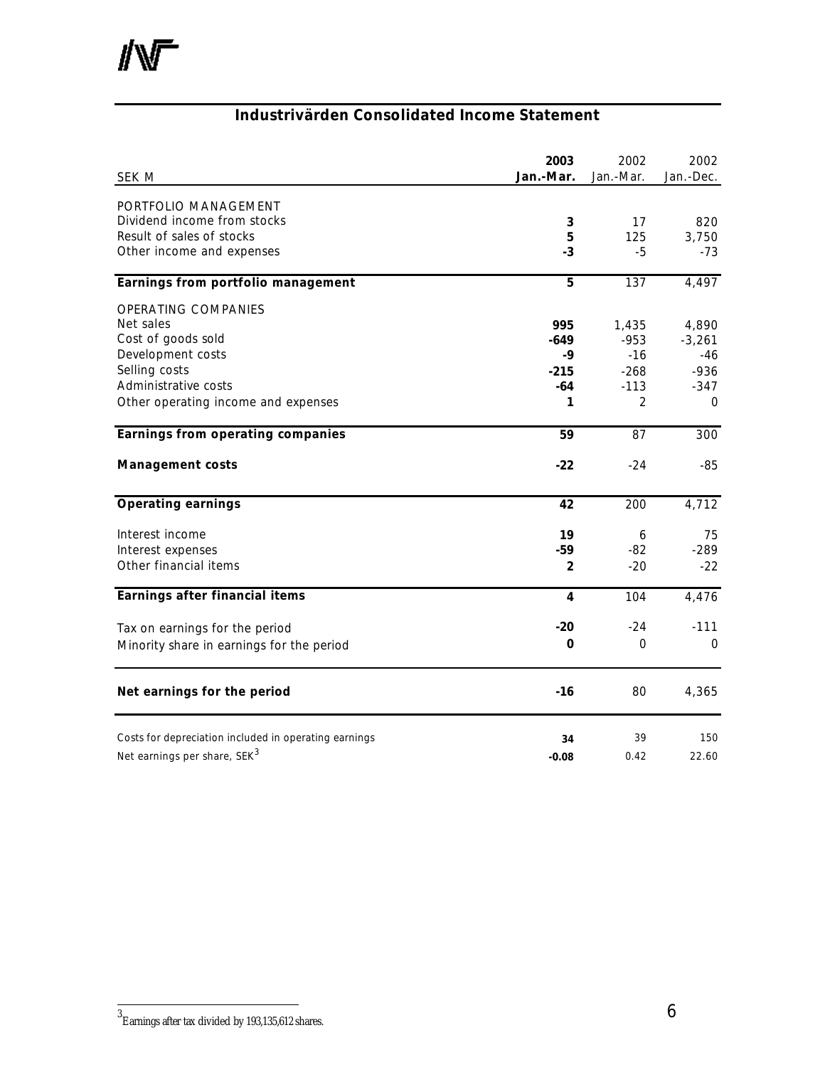# **Industrivärden Consolidated Income Statement**

| SEK M                                                 | 2003<br>Jan.-Mar. | 2002<br>Jan.-Mar. | 2002<br>Jan.-Dec. |
|-------------------------------------------------------|-------------------|-------------------|-------------------|
| PORTFOLIO MANAGEMENT                                  |                   |                   |                   |
| Dividend income from stocks                           | 3                 | 17                | 820               |
| Result of sales of stocks                             | 5                 | 125               | 3,750             |
| Other income and expenses                             | $-3$              | -5                | $-73$             |
| Earnings from portfolio management                    | 5                 | 137               | 4,497             |
| <b>OPERATING COMPANIES</b>                            |                   |                   |                   |
| Net sales                                             | 995               | 1,435             | 4,890             |
| Cost of goods sold                                    | $-649$            | $-953$            | $-3,261$          |
| Development costs                                     | -9                | $-16$             | -46               |
| Selling costs                                         | $-215$            | $-268$            | $-936$            |
| Administrative costs                                  | -64               | $-113$            | $-347$            |
| Other operating income and expenses                   | 1                 | $\overline{2}$    | $\Omega$          |
| Earnings from operating companies                     | 59                | 87                | 300               |
| <b>Management costs</b>                               | $-22$             | $-24$             | -85               |
| <b>Operating earnings</b>                             | 42                | 200               | 4,712             |
| Interest income                                       | 19                | 6                 | 75                |
| Interest expenses                                     | $-59$             | $-82$             | $-289$            |
| Other financial items                                 | $\overline{2}$    | $-20$             | $-22$             |
| Earnings after financial items                        | 4                 | 104               | 4,476             |
| Tax on earnings for the period                        | $-20$             | $-24$             | $-111$            |
| Minority share in earnings for the period             | 0                 | 0                 | $\Omega$          |
| Net earnings for the period                           | $-16$             | 80                | 4,365             |
| Costs for depreciation included in operating earnings | 34                | 39                | 150               |
| Net earnings per share, SEK <sup>3</sup>              | $-0.08$           | 0.42              | 22.60             |
|                                                       |                   |                   |                   |

 3 Earnings after tax divided by 193,135,612 shares.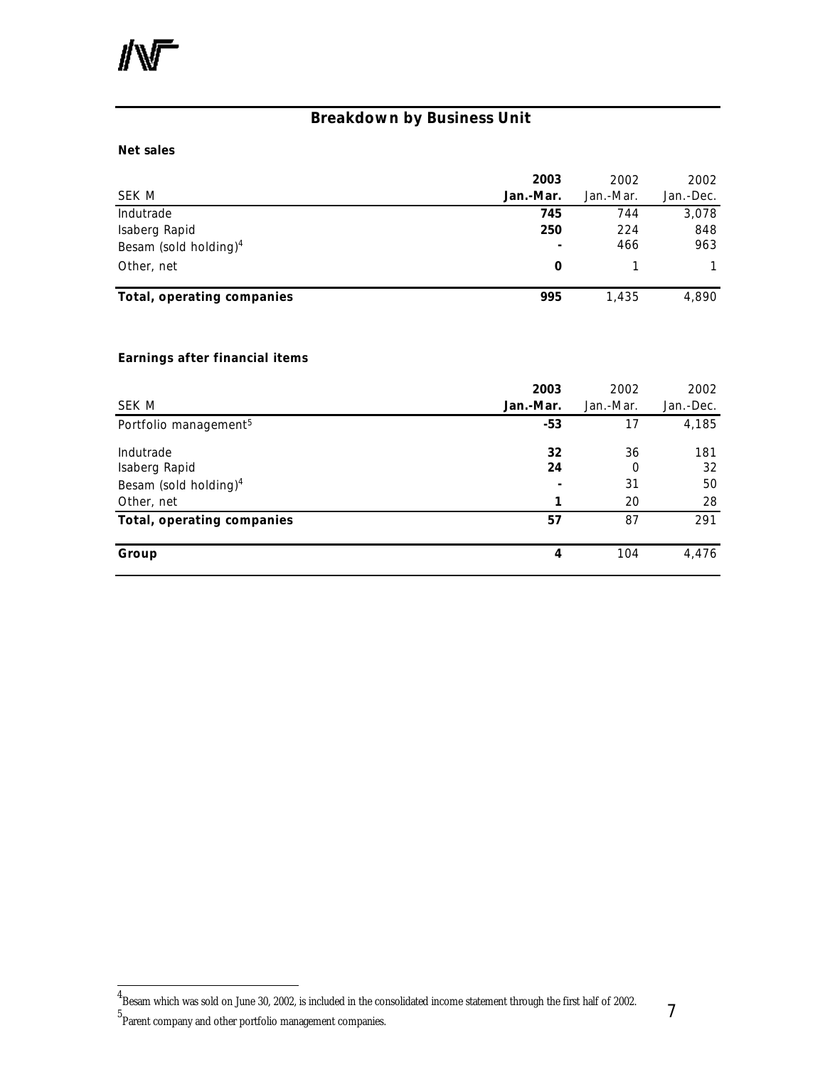# **Breakdown by Business Unit**

#### **Net sales**

| SEK M                      | 2003<br>Jan.-Mar. | 2002<br>Jan.-Mar. | 2002<br>Jan.-Dec. |
|----------------------------|-------------------|-------------------|-------------------|
| Indutrade                  | 745               | 744               | 3,078             |
| Isaberg Rapid              | 250               | 224               | 848               |
| Besam (sold holding) $4$   |                   | 466               | 963               |
| Other, net                 | 0                 |                   |                   |
| Total, operating companies | 995               | 1,435             | 4,890             |

# **Earnings after financial items**

|                                   | 2003      | 2002      | 2002      |
|-----------------------------------|-----------|-----------|-----------|
| SEK M                             | Jan.-Mar. | Jan.-Mar. | Jan.-Dec. |
| Portfolio management <sup>5</sup> | $-53$     | 17        | 4,185     |
| Indutrade                         | 32        | 36        | 181       |
| Isaberg Rapid                     | 24        | 0         | 32        |
| Besam (sold holding) <sup>4</sup> |           | 31        | 50        |
| Other, net                        | 1         | 20        | 28        |
| Total, operating companies        | 57        | 87        | 291       |
| Group                             | 4         | 104       | 4,476     |

l

 $^4$ Besam which was sold on June 30, 2002, is included in the consolidated income statement through the first half of 2002.

<sup>5</sup> Parent company and other portfolio management companies.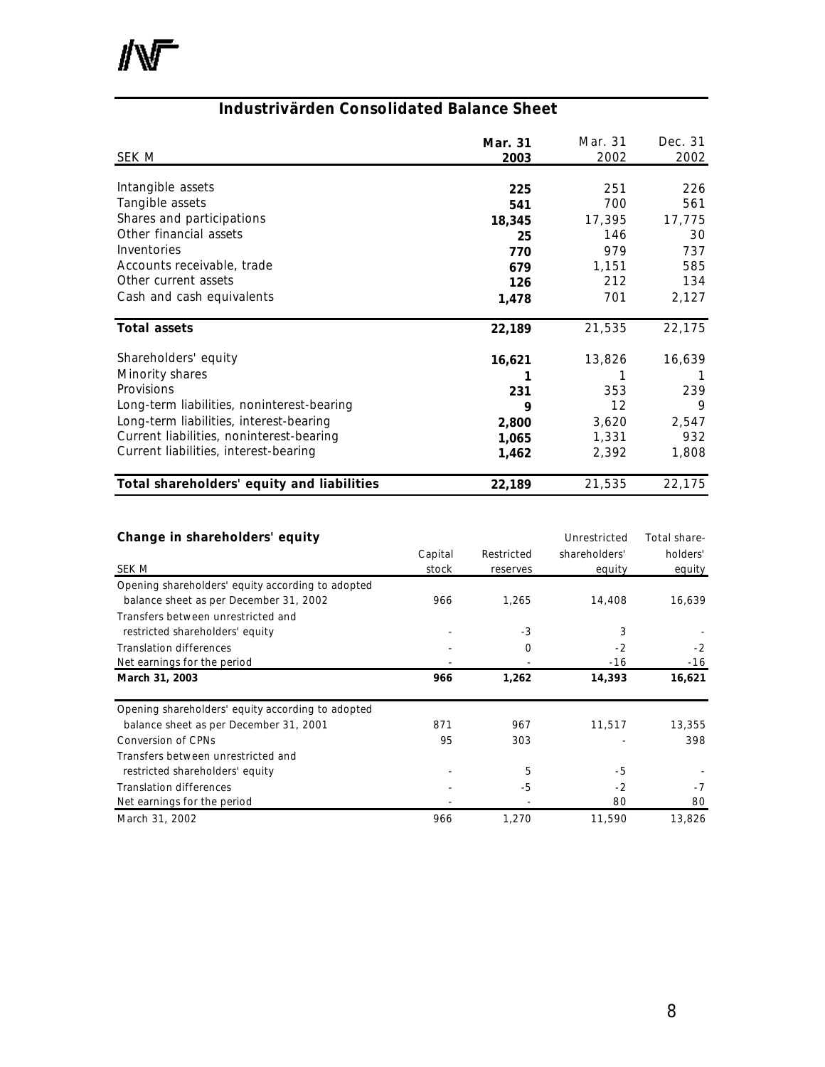小厂

# **Industrivärden Consolidated Balance Sheet**

| SEK M                                      | Mar. 31<br>2003 | Mar. 31<br>2002 | Dec. 31<br>2002 |
|--------------------------------------------|-----------------|-----------------|-----------------|
|                                            |                 |                 |                 |
| Intangible assets                          | 225             | 251             | 226             |
| Tangible assets                            | 541             | 700             | 561             |
| Shares and participations                  | 18,345          | 17,395          | 17,775          |
| Other financial assets                     | 25              | 146             | 30              |
| Inventories                                | 770             | 979             | 737             |
| Accounts receivable, trade                 | 679             | 1,151           | 585             |
| Other current assets                       | 126             | 212             | 134             |
| Cash and cash equivalents                  | 1,478           | 701             | 2,127           |
| Total assets                               | 22,189          | 21,535          | 22,175          |
| Shareholders' equity                       | 16,621          | 13,826          | 16,639          |
| Minority shares                            |                 |                 |                 |
| Provisions                                 | 231             | 353             | 239             |
| Long-term liabilities, noninterest-bearing | 9               | 12              | 9               |
| Long-term liabilities, interest-bearing    | 2,800           | 3,620           | 2,547           |
| Current liabilities, noninterest-bearing   | 1,065           | 1,331           | 932             |
| Current liabilities, interest-bearing      |                 |                 |                 |
|                                            | 1,462           | 2,392           | 1,808           |
| Total shareholders' equity and liabilities | 22,189          | 21,535          | 22,175          |

| Change in shareholders' equity                    |         |            | Unrestricted  | Total share- |
|---------------------------------------------------|---------|------------|---------------|--------------|
|                                                   | Capital | Restricted | shareholders' | holders'     |
| SEK M                                             | stock   | reserves   | equity        | equity       |
| Opening shareholders' equity according to adopted |         |            |               |              |
| balance sheet as per December 31, 2002            | 966     | 1.265      | 14,408        | 16,639       |
| Transfers between unrestricted and                |         |            |               |              |
| restricted shareholders' equity                   |         | $-3$       | 3             |              |
| <b>Translation differences</b>                    |         | 0          | $-2$          | $-2$         |
| Net earnings for the period                       |         |            | $-16$         | $-16$        |
| March 31, 2003                                    | 966     | 1,262      | 14,393        | 16,621       |
| Opening shareholders' equity according to adopted |         |            |               |              |
| balance sheet as per December 31, 2001            | 871     | 967        | 11,517        | 13,355       |
| <b>Conversion of CPNs</b>                         | 95      | 303        |               | 398          |
| Transfers between unrestricted and                |         |            |               |              |
| restricted shareholders' equity                   |         | 5          | $-5$          |              |
| <b>Translation differences</b>                    |         | -5         | $-2$          | $-7$         |
| Net earnings for the period                       |         |            | 80            | 80           |
| March 31, 2002                                    | 966     | 1,270      | 11,590        | 13,826       |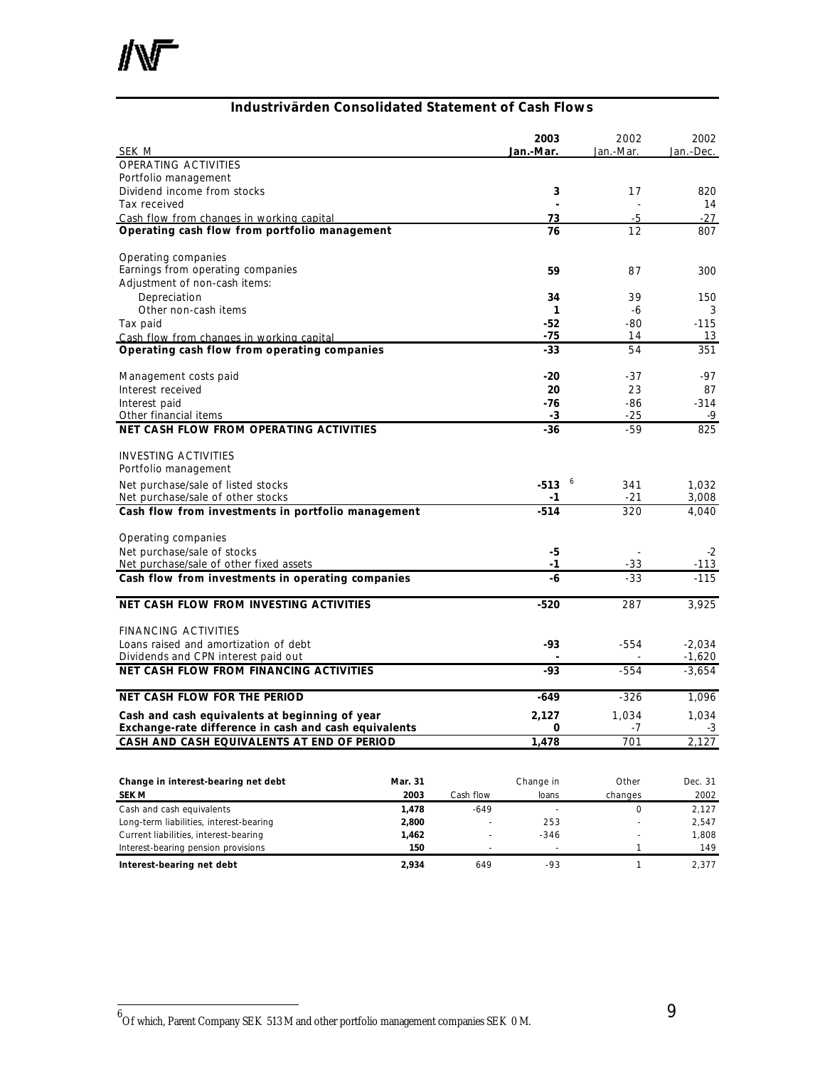# **Industrivärden Consolidated Statement of Cash Flows**

|                                                       |         |           | 2003<br>Jan.-Mar. | 2002<br>Jan.-Mar.   | 2002<br>Jan.-Dec. |
|-------------------------------------------------------|---------|-----------|-------------------|---------------------|-------------------|
| SEK M<br><b>OPERATING ACTIVITIES</b>                  |         |           |                   |                     |                   |
| Portfolio management                                  |         |           |                   |                     |                   |
| Dividend income from stocks                           |         |           | 3                 | 17                  | 820               |
| Tax received                                          |         |           |                   |                     | 14                |
| Cash flow from changes in working capital             |         |           | 73                | -5                  | $-27$             |
| Operating cash flow from portfolio management         |         |           | 76                | 12                  | 807               |
| Operating companies                                   |         |           |                   |                     |                   |
| Earnings from operating companies                     |         |           | 59                | 87                  | 300               |
| Adjustment of non-cash items:                         |         |           |                   |                     |                   |
| Depreciation                                          |         |           | 34                | 39                  | 150               |
| Other non-cash items                                  |         |           | 1                 | -6                  | 3                 |
| Tax paid                                              |         |           | -52               | $-80$               | $-115$            |
| Cash flow from changes in working capital             |         |           | $-75$             | 14                  | 13                |
| Operating cash flow from operating companies          |         |           | $-33$             | 54                  | 351               |
| Management costs paid                                 |         |           | $-20$             | $-37$               | -97               |
| Interest received                                     |         |           | 20                | 23                  | 87                |
| Interest paid                                         |         |           | -76               | -86                 | $-314$            |
| Other financial items                                 |         |           | -3                | -25                 | -9                |
| NET CASH FLOW FROM OPERATING ACTIVITIES               |         |           | $-36$             | $-59$               | 825               |
| <b>INVESTING ACTIVITIES</b>                           |         |           |                   |                     |                   |
| Portfolio management                                  |         |           |                   |                     |                   |
| Net purchase/sale of listed stocks                    |         |           | $-513$            | 6<br>341            | 1,032             |
| Net purchase/sale of other stocks                     |         |           | -1                | $-21$               | 3,008             |
| Cash flow from investments in portfolio management    |         |           | $-514$            | 320                 | 4,040             |
| Operating companies                                   |         |           |                   |                     |                   |
| Net purchase/sale of stocks                           |         |           | -5                |                     | $-2$              |
| Net purchase/sale of other fixed assets               |         |           | -1                | -33                 | -113              |
| Cash flow from investments in operating companies     |         |           | -6                | $-33$               | $-115$            |
| NET CASH FLOW FROM INVESTING ACTIVITIES               |         |           | $-520$            | 287                 | 3,925             |
| <b>FINANCING ACTIVITIES</b>                           |         |           |                   |                     |                   |
| Loans raised and amortization of debt                 |         |           | -93               | $-554$              | $-2,034$          |
| Dividends and CPN interest paid out                   |         |           |                   |                     | $-1,620$          |
| <b>NET CASH FLOW FROM FINANCING ACTIVITIES</b>        |         |           | -93               | $-554$              | $-3,654$          |
| <b>NET CASH FLOW FOR THE PERIOD</b>                   |         |           | $-649$            | $-326$              | 1,096             |
| Cash and cash equivalents at beginning of year        |         |           | 2,127             | 1,034               | 1,034             |
| Exchange-rate difference in cash and cash equivalents |         |           | 0                 | $-7$                | $-3$              |
| CASH AND CASH EQUIVALENTS AT END OF PERIOD            |         |           | 1,478             | 701                 | 2,127             |
|                                                       |         |           |                   |                     |                   |
| Change in interest-bearing net debt                   | Mar. 31 |           | Change in         | Other               | Dec. 31           |
| <b>SEK M</b>                                          | 2003    | Cash flow | loans             | changes             | 2002              |
| Cash and cash equivalents                             | 1,478   | $-649$    | $\mathbf{r}$      | $\mathsf{O}\xspace$ | 2,127             |
| Long-term liabilities, interest-bearing               | 2,800   |           | 253               | ÷,                  | 2,547             |
| Current liabilities, interest-bearing                 | 1,462   |           | $-346$            |                     | 1,808             |
| Interest-bearing pension provisions                   | 150     |           |                   | 1                   | 149               |

**Interest-bearing net debt 2,934** 649 -93 1 2,377

Interest-bearing pension provisions

 6 Of which, Parent Company SEK 513 M and other portfolio management companies SEK 0 M.